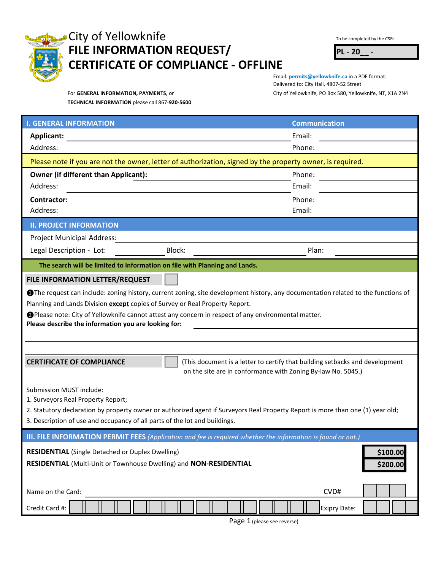

## City of Yellowknife The CSR: To be completed by the CSR: **FILE INFORMATION REQUEST/ PL - 20\_\_ - CERTIFICATE OF COMPLIANCE - OFFLINE**

For **GENERAL INFORMATION, PAYMENTS**, or City of Yellowknife, PO Box 580, Yellowknife, NT, X1A 2N4 Email: **permits@yellowknife.ca** in a PDF format. Delivered to: City Hall, 4807-52 Street

**TECHNICAL INFORMATION** please call 867-**920-5600**

| <b>I. GENERAL INFORMATION</b>                                                                                                    |                                                              | <b>Communication</b>                                                         |
|----------------------------------------------------------------------------------------------------------------------------------|--------------------------------------------------------------|------------------------------------------------------------------------------|
| Applicant:                                                                                                                       |                                                              | Email:                                                                       |
| Address:                                                                                                                         |                                                              | Phone:                                                                       |
| Please note if you are not the owner, letter of authorization, signed by the property owner, is required.                        |                                                              |                                                                              |
| <b>Owner (if different than Applicant):</b>                                                                                      |                                                              | Phone:                                                                       |
| Address:                                                                                                                         |                                                              | Email:                                                                       |
| Contractor:                                                                                                                      |                                                              | Phone:                                                                       |
| Address:                                                                                                                         |                                                              | Email:                                                                       |
| <b>II. PROJECT INFORMATION</b>                                                                                                   |                                                              |                                                                              |
| <b>Project Municipal Address:</b>                                                                                                |                                                              |                                                                              |
| Legal Description - Lot:                                                                                                         | Block:                                                       | Plan:                                                                        |
| The search will be limited to information on file with Planning and Lands.                                                       |                                                              |                                                                              |
| FILE INFORMATION LETTER/REQUEST                                                                                                  |                                                              |                                                                              |
| The request can include: zoning history, current zoning, site development history, any documentation related to the functions of |                                                              |                                                                              |
| Planning and Lands Division except copies of Survey or Real Property Report.                                                     |                                                              |                                                                              |
| ● Please note: City of Yellowknife cannot attest any concern in respect of any environmental matter.                             |                                                              |                                                                              |
| Please describe the information you are looking for:                                                                             |                                                              |                                                                              |
|                                                                                                                                  |                                                              |                                                                              |
|                                                                                                                                  |                                                              |                                                                              |
| <b>CERTIFICATE OF COMPLIANCE</b>                                                                                                 |                                                              | (This document is a letter to certify that building setbacks and development |
|                                                                                                                                  | on the site are in conformance with Zoning By-law No. 5045.) |                                                                              |
| Submission MUST include:                                                                                                         |                                                              |                                                                              |
| 1. Surveyors Real Property Report;                                                                                               |                                                              |                                                                              |
| 2. Statutory declaration by property owner or authorized agent if Surveyors Real Property Report is more than one (1) year old;  |                                                              |                                                                              |
| 3. Description of use and occupancy of all parts of the lot and buildings.                                                       |                                                              |                                                                              |
| <b>III. FILE INFORMATION PERMIT FEES</b> (Application and fee is required whether the information is found or not.)              |                                                              |                                                                              |
| <b>RESIDENTIAL</b> (Single Detached or Duplex Dwelling)                                                                          |                                                              | \$100.00                                                                     |
| RESIDENTIAL (Multi-Unit or Townhouse Dwelling) and NON-RESIDENTIAL                                                               |                                                              |                                                                              |
|                                                                                                                                  |                                                              | \$200.00                                                                     |
|                                                                                                                                  |                                                              |                                                                              |
| Name on the Card:                                                                                                                |                                                              | CVD#                                                                         |

Page 1 (please see reverse)